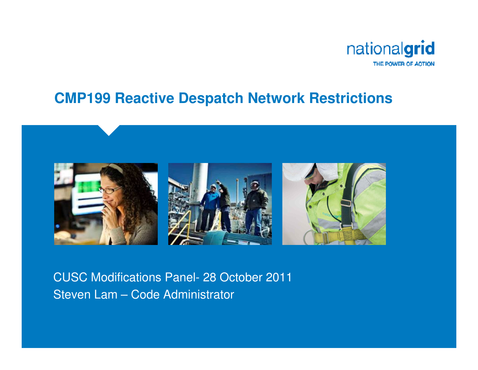

#### **CMP199 Reactive Despatch Network Restrictions**



#### CUSC Modifications Panel- 28 October 2011Steven Lam – Code Administrator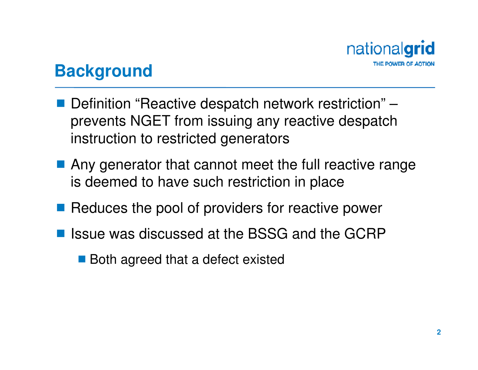

## **Background**

- Definition "Reactive despatch network restriction" –<br>provents NGET from issuing any reactive despatch prevents NGET from issuing any reactive despatch instruction to restricted generators
- Any generator that cannot meet the full reactive range is deemed to have such restriction in place
- Reduces the pool of providers for reactive power
- Issue was discussed at the BSSG and the GCRP
	- Both agreed that a defect existed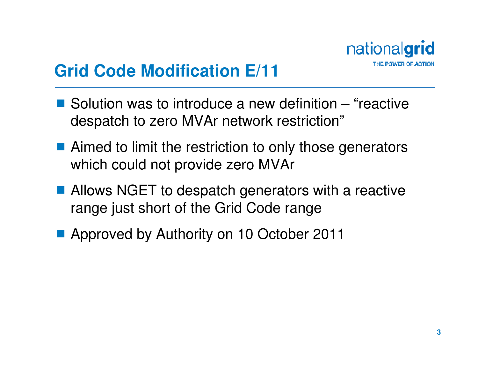

## **Grid Code Modification E/11**

- $\blacksquare$  Solution was to introduce a new definition "reactive<br>despateb to zero MVAr potwork restriction" despatch to zero MVAr network restriction"
- Aimed to limit the restriction to only those generators which could not provide zero  $MVAr$ which could not provide zero MVAr
- Allows NGET to despatch generators with a reactive<br>Figure i.i.et short of the Grid Code range range just short of the Grid Code range
- Approved by Authority on 10 October 2011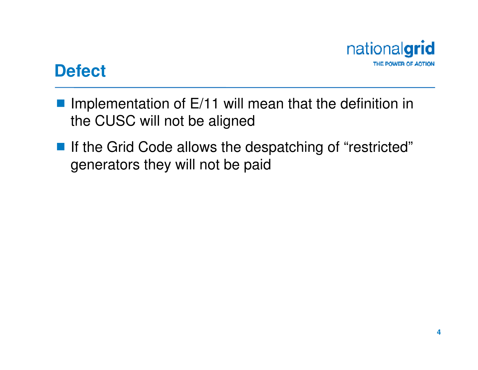

### **Defect**

- Implementation of  $E/11$  will mean that the definition in<br>the CUSC will not be aligned the CUSC will not be aligned
- If the Grid Code allows the despatching of "restricted"<br>Generators they will not be paid generators they will not be paid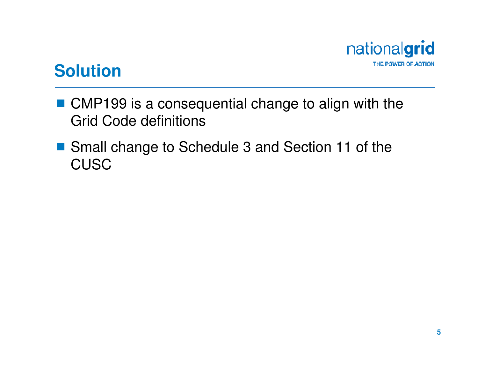

### **Solution**

- CMP199 is a consequential change to align with the<br>Crid Code definitions Grid Code definitions
- Small change to Schedule 3 and Section 11 of the<br>CLISC **CUSC**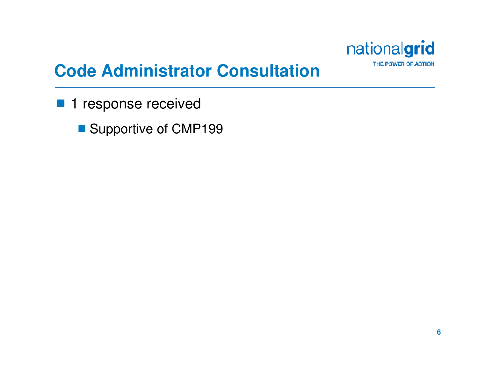

# **Code Administrator Consultation**

- 1 response received
	- Supportive of CMP199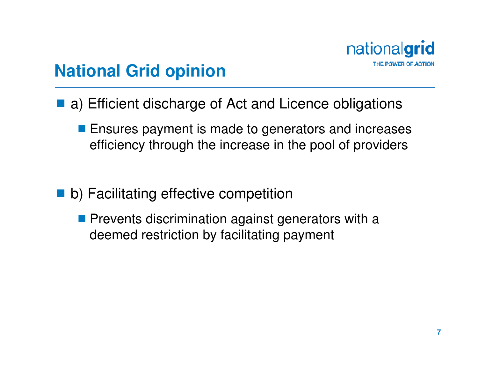

## **National Grid opinion**

- a) Efficient discharge of Act and Licence obligations
	- **E** Ensures payment is made to generators and increases efficiency through the increase in the pool of providers
- b) Facilitating effective competition
	- **Prevents discrimination against generators with a** deemed restriction by facilitating payment